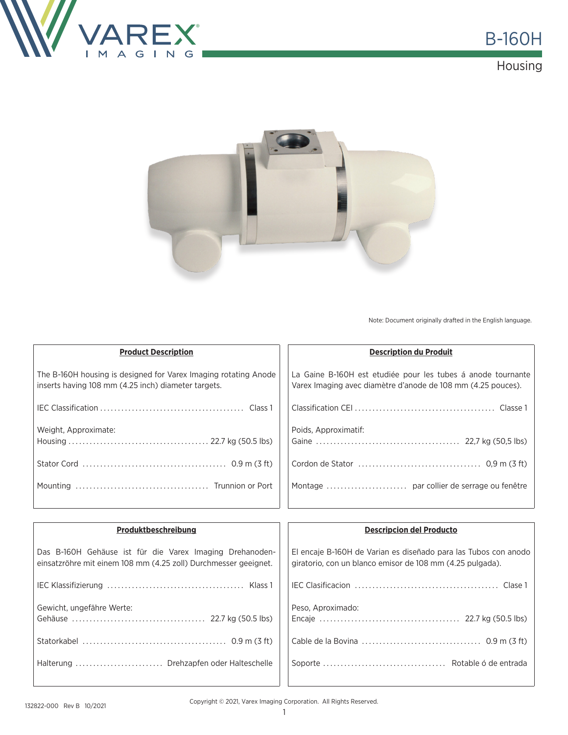





Note: Document originally drafted in the English language.

| <b>Product Description</b>                                                                                             | <b>Description du Produit</b>                                                                                                |
|------------------------------------------------------------------------------------------------------------------------|------------------------------------------------------------------------------------------------------------------------------|
| The B-160H housing is designed for Varex Imaging rotating Anode<br>inserts having 108 mm (4.25 inch) diameter targets. | La Gaine B-160H est etudiée pour les tubes à anode tournante<br>Varex Imaging avec diamètre d'anode de 108 mm (4.25 pouces). |
|                                                                                                                        |                                                                                                                              |
| Weight, Approximate:                                                                                                   | Poids, Approximatif:                                                                                                         |
|                                                                                                                        |                                                                                                                              |
|                                                                                                                        |                                                                                                                              |
|                                                                                                                        |                                                                                                                              |

| Produktbeschreibung                                                                                                         | <b>Descripcion del Producto</b>                                                                                              |  |
|-----------------------------------------------------------------------------------------------------------------------------|------------------------------------------------------------------------------------------------------------------------------|--|
| Das B-160H Gehäuse ist für die Varex Imaging Drehanoden-<br>einsatzröhre mit einem 108 mm (4.25 zoll) Durchmesser geeignet. | El encaje B-160H de Varian es diseñado para las Tubos con anodo<br>giratorio, con un blanco emisor de 108 mm (4.25 pulgada). |  |
|                                                                                                                             |                                                                                                                              |  |
| Gewicht, ungefähre Werte:                                                                                                   | Peso, Aproximado:                                                                                                            |  |
|                                                                                                                             |                                                                                                                              |  |
| Halterung  Drehzapfen oder Halteschelle                                                                                     |                                                                                                                              |  |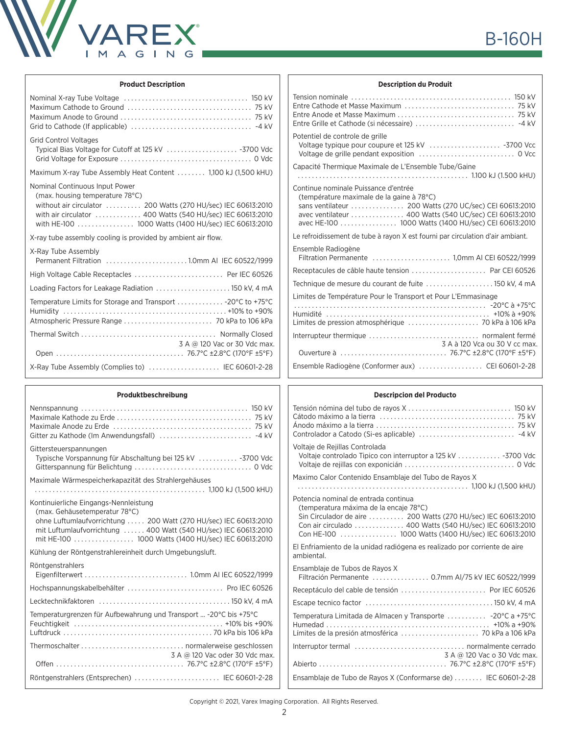

## **Product Description**

#### **Produktbeschreibung**

| Gittersteuerspannungen<br>Typische Vorspannung für Abschaltung bei 125 kV  -3700 Vdc                                                                                                                          |
|---------------------------------------------------------------------------------------------------------------------------------------------------------------------------------------------------------------|
| Maximale Wärmespeicherkapazität des Strahlergehäuses                                                                                                                                                          |
| Kontinuierliche Eingangs-Nennleistung<br>(max. Gehäusetemperatur 78°C)<br>ohne Luftumlaufvorrichtung  200 Watt (270 HU/sec) IEC 60613:2010<br>mit Luftumlaufvorrichtung  400 Watt (540 HU/sec) IEC 60613:2010 |
| Kühlung der Röntgenstrahlereinheit durch Umgebungsluft.                                                                                                                                                       |
| Röntgenstrahlers<br>Hochspannungskabelbehälter  Pro IEC 60526                                                                                                                                                 |
|                                                                                                                                                                                                               |
|                                                                                                                                                                                                               |
| Temperaturgrenzen für Aufbewahrung und Transport  -20°C bis +75°C                                                                                                                                             |
| 3 A @ 120 Vac oder 30 Vdc max.                                                                                                                                                                                |
| Röntgenstrahlers (Entsprechen)  IEC 60601-2-28                                                                                                                                                                |

# **B-160H**

## **Description du Produit**

| Potentiel de controle de grille                                                                                                                                                                                                                                |
|----------------------------------------------------------------------------------------------------------------------------------------------------------------------------------------------------------------------------------------------------------------|
| Capacité Thermique Maximale de L'Ensemble Tube/Gaine                                                                                                                                                                                                           |
|                                                                                                                                                                                                                                                                |
| Continue nominale Puissance d'entrée<br>(température maximale de la gaine à 78°C)<br>sans ventilateur  200 Watts (270 UC/sec) CEI 60613:2010<br>avec ventilateur  400 Watts (540 UC/sec) CEI 60613:2010<br>avec HE-100 1000 Watts (1400 HU/sec) CEI 60613:2010 |
| Le refroidissement de tube à rayon X est fourni par circulation d'air ambiant.                                                                                                                                                                                 |
| Ensemble Radiogène<br>Filtration Permanente  1,0mm AI CEI 60522/1999                                                                                                                                                                                           |
| Receptacules de câble haute tension  Par CEI 60526                                                                                                                                                                                                             |
| Technique de mesure du courant de fuite  150 kV, 4 mA                                                                                                                                                                                                          |
| Limites de Température Pour le Transport et Pour L'Emmasinage                                                                                                                                                                                                  |
|                                                                                                                                                                                                                                                                |
| 3 A à 120 Vca ou 30 V cc max.                                                                                                                                                                                                                                  |
|                                                                                                                                                                                                                                                                |
| Ensemble Radiogène (Conformer aux)  CEI 60601-2-28                                                                                                                                                                                                             |

## **Descripcion del Producto**

| Voltaje de Rejillas Controlada<br>Voltaje controlado Tipico con interruptor a 125 kV 3700 Vdc                                                                                                                                                                      |
|--------------------------------------------------------------------------------------------------------------------------------------------------------------------------------------------------------------------------------------------------------------------|
| Maximo Calor Contenido Ensamblaje del Tubo de Rayos X                                                                                                                                                                                                              |
| Potencia nominal de entrada continua<br>(temperatura máxima de la encaje 78°C)<br>Sin Circulador de aire  200 Watts (270 HU/sec) IEC 60613:2010<br>Con air circulado  400 Watts (540 HU/sec) IEC 60613:2010<br>Con HE-100  1000 Watts (1400 HU/sec) IEC 60613:2010 |
| El Enfriamiento de la unidad radiógena es realizado por corriente de aire<br>ambiental.                                                                                                                                                                            |
| Ensamblaje de Tubos de Rayos X<br>Filtración Permanente  0.7mm AI/75 kV IEC 60522/1999                                                                                                                                                                             |
| Receptáculo del cable de tensión  Por IEC 60526                                                                                                                                                                                                                    |
|                                                                                                                                                                                                                                                                    |
| Temperatura Limitada de Almacen y Transporte  -20°C a +75°C<br>Límites de la presión atmosférica  70 kPa a 106 kPa                                                                                                                                                 |
| 3 A @ 120 Vac o 30 Vdc max.                                                                                                                                                                                                                                        |
|                                                                                                                                                                                                                                                                    |
| Ensamblaje de Tubo de Rayos X (Conformarse de)  IEC 60601-2-28                                                                                                                                                                                                     |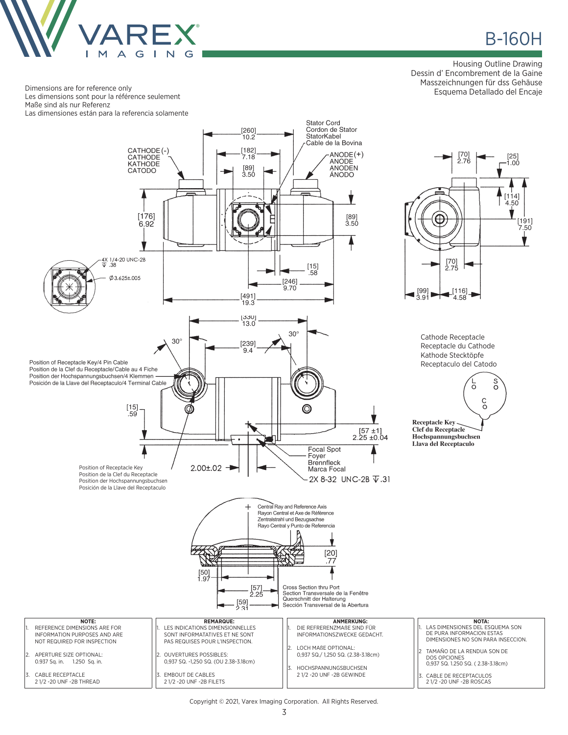

# **B-160H**

[191]

 $7.50$ 

Housing Outline Drawing Dessin d' Encombrement de la Gaine Masszeichnungen für dss Gehäuse Esquema Detallado del Encaje

Dimensions are for reference only Les dimensions sont pour la référence seulement Maße sind als nur Referenz Las dimensiones están para la referencia solamente



Copyright © 2021, Varex Imaging Corporation. All Rights Reserved.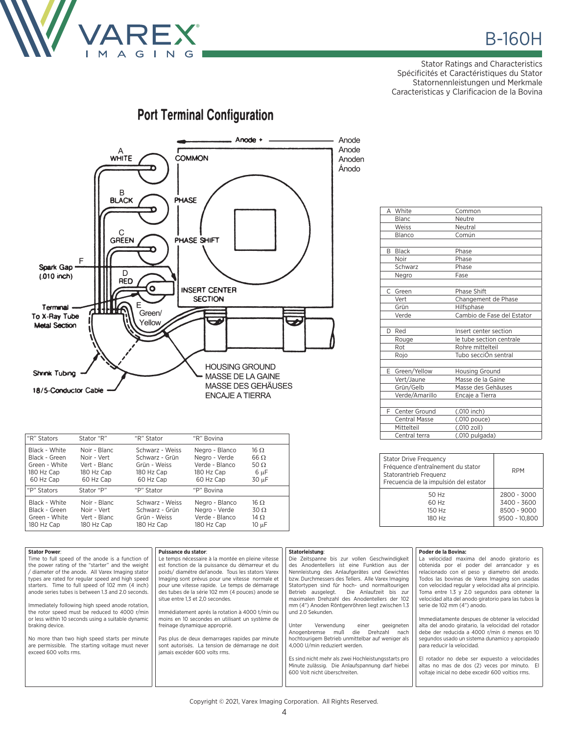

Stator Ratings and Characteristics Spécificités et Caractéristiques du Stator Statornennleistungen und Merkmale Caracteristicas y Clarificacion de la Bovina

#### Anode + Anode Anode  $A$  WHITE **COMMON** Anoden Ánodo  $\sf B$ **BLACK PHASE** C<br>GREEN PHASE SHIFT  $\mathsf F$ Spark Gap  $\mathsf D$  $(010$  inch) **RED** Ō **INSERT CENTER SECTION** Terminal Green/ To X-Ray Tube Yellow **Metal Section HOUSING GROUND** Shrink Tubing MASSE DE LA GAINE MASSE DES GEHÄUSES 18/5-Conductor Cable ENCAJE A TIERRA

| "R" Stators   | Stator "R"   | "R" Stator      | "R" Bovina     |             |
|---------------|--------------|-----------------|----------------|-------------|
| Black - White | Noir - Blanc | Schwarz - Weiss | Negro - Blanco | $16 \Omega$ |
| Black - Green | Noir - Vert  | Schwarz - Grün  | Negro - Verde  | $66 \Omega$ |
| Green - White | Vert - Blanc | Grün - Weiss    | Verde - Blanco | 50 $\Omega$ |
| 180 Hz Cap    | 180 Hz Cap   | 180 Hz Cap      | 180 Hz Cap     | 6 µF        |
| 60 Hz Cap     | 60 Hz Cap    | 60 Hz Cap       | 60 Hz Cap      | 30 µF       |
| "P" Stators   | Stator "P"   | "P" Stator      | "P" Bovina     |             |
| Black - White | Noir - Blanc | Schwarz - Weiss | Negro - Blanco | $16 \Omega$ |
| Black - Green | Noir - Vert  | Schwarz - Grün  | Negro - Verde  | $30\Omega$  |
| Green - White | Vert - Blanc | Grün - Weiss    | Verde - Blanco | 14 $\Omega$ |
| 180 Hz Cap    | 180 Hz Cap   | 180 Hz Cap      | 180 Hz Cap     | 10 µF       |

|               | A White              | Common                     |
|---------------|----------------------|----------------------------|
|               | <b>Blanc</b>         | Neutre                     |
|               | Weiss                | Neutral                    |
|               | Blanco               | Común                      |
|               |                      |                            |
| B.            | <b>Black</b>         | Phase                      |
|               | Noir                 | Phase                      |
|               | Schwarz              | Phase                      |
|               | Negro                | Fase                       |
|               |                      |                            |
| $\mathcal{C}$ | Green                | Phase Shift                |
|               | Vert                 | Changement de Phase        |
|               | Grün                 | Hilfsphase                 |
|               | Verde                | Cambio de Fase del Estator |
|               |                      |                            |
| D.            | Red                  | Insert center section      |
|               | Rouge                | le tube section centrale   |
|               | Rot                  | Rohre mittelteil           |
|               | Rojo                 | Tubo secciÓn sentral       |
|               |                      |                            |
|               | E Green/Yellow       | Housing Ground             |
|               | Vert/Jaune           | Masse de la Gaine          |
|               | Grün/Gelb            | Masse des Gehäuses         |
|               | Verde/Amarillo       | Encaje a Tierra            |
|               |                      |                            |
| F.            | Center Ground        | (.010 inch)                |
|               | <b>Central Masse</b> | (.010 pouce)               |
|               | Mittelteil           | (.010 zoll)                |
|               | Central terra        | (.010 pulgada)             |

| <b>Stator Drive Frequency</b><br>Fréquence d'entraînement du stator<br>Statorantrieb Frequenz<br>Frecuencia de la impulsión del estator | <b>RPM</b>                                                 |
|-----------------------------------------------------------------------------------------------------------------------------------------|------------------------------------------------------------|
| 50 Hz<br>60 Hz<br>150 Hz<br>180 Hz                                                                                                      | 2800 - 3000<br>3400 - 3600<br>8500 - 9000<br>9500 - 10.800 |

| <b>Stator Power:</b><br>Time to full speed of the anode is a function of<br>the power rating of the "starter" and the weight<br>/ diameter of the anode. All Varex Imaging stator<br>types are rated for regular speed and high speed<br>starters. Time to full speed of 102 mm (4 inch)<br>anode series tubes is between 1.3 and 2.0 seconds.<br>Immediately following high speed anode rotation,<br>the rotor speed must be reduced to 4000 r/min<br>or less within 10 seconds using a suitable dynamic<br>braking device.<br>No more than two high speed starts per minute<br>are permissible. The starting voltage must never<br>exceed 600 volts rms. | <b>Puissance du stator:</b><br>Le temps nécessaire à la montée en pleine vitesse<br>est fonction de la puissance du démarreur et du<br>poids/ diamétre del'anode. Tous les stators Varex<br>Imaging sont prévus pour une vitesse normale et<br>pour une vitesse rapide. Le temps de démarrage<br>des tubes de la série 102 mm (4 pouces) anode se<br>situe entre 1.3 et 2.0 secondes.<br>Immédiatement aprés la rotation à 4000 t/min ou<br>moins en 10 secondes en utilisant un système de<br>freinage dynamique approprié.<br>Pas plus de deux demarrages rapides par minute<br>sont autorisés. La tension de démarrage ne doit<br>jamais excéder 600 volts rms. | Statorleistung:<br>Die Zeitspanne bis zur vollen Geschwindigkeit<br>des Anodentellers ist eine Funktion aus der<br>Nennleistung des Anlaufgerätes und Gewichtes<br>bzw. Durchmessers des Tellers. Alle Varex Imaging<br>Statortypen sind für hoch- und normaltourigen<br>Die Anlaufzeit bis zur<br>Betrieb ausgelegt.<br>maximalen Drehzahl des Anodentellers der 102<br>mm (4") Anoden Röntgenröhren liegt zwischen 1.3<br>und 2.0 Sekunden.<br>Verwendung<br>Unter<br>geeigneten<br>einer<br>Anogenbremse<br>muß<br>Drehzahl<br>die<br>nach<br>hochtourigem Betrieb unmittelbar auf weniger als<br>4,000 U/min reduziert werden.<br>Es sind nicht mehr als zwei Hochleistungsstarts pro<br>Minute zulässig. Die Anlaufspannung darf hiebei<br>600 Volt nicht überschreiten. | Poder de la Bovina:<br>La velocidad maxima del anodo giratorio es<br>obtenida por el poder del arrancador y es<br>relacionado con el peso y diametro del anodo.<br>Todos las bovinas de Varex Imaging son usadas<br>con velocidad regular y velocidad alta al principio.<br>Toma entre 1.3 y 2.0 segundos para obtener la<br>velocidad alta del anodo giratorio para las tubos la<br>serie de 102 mm (4") anodo.<br>Immediatamente despues de obtener la velocidad<br>alta del anodo giratario, la velocidad del rotador<br>debe der reducida a 4000 r/min ó menos en 10<br>segundos usado un sistema dunamico y apropiado<br>para reducir la velocidad.<br>El rotador no debe ser expuesto a velocidades<br>altas no mas de dos (2) veces por minuto. El<br>voltaje inicial no debe excedir 600 voltios rms. |
|------------------------------------------------------------------------------------------------------------------------------------------------------------------------------------------------------------------------------------------------------------------------------------------------------------------------------------------------------------------------------------------------------------------------------------------------------------------------------------------------------------------------------------------------------------------------------------------------------------------------------------------------------------|--------------------------------------------------------------------------------------------------------------------------------------------------------------------------------------------------------------------------------------------------------------------------------------------------------------------------------------------------------------------------------------------------------------------------------------------------------------------------------------------------------------------------------------------------------------------------------------------------------------------------------------------------------------------|-------------------------------------------------------------------------------------------------------------------------------------------------------------------------------------------------------------------------------------------------------------------------------------------------------------------------------------------------------------------------------------------------------------------------------------------------------------------------------------------------------------------------------------------------------------------------------------------------------------------------------------------------------------------------------------------------------------------------------------------------------------------------------|---------------------------------------------------------------------------------------------------------------------------------------------------------------------------------------------------------------------------------------------------------------------------------------------------------------------------------------------------------------------------------------------------------------------------------------------------------------------------------------------------------------------------------------------------------------------------------------------------------------------------------------------------------------------------------------------------------------------------------------------------------------------------------------------------------------|
|------------------------------------------------------------------------------------------------------------------------------------------------------------------------------------------------------------------------------------------------------------------------------------------------------------------------------------------------------------------------------------------------------------------------------------------------------------------------------------------------------------------------------------------------------------------------------------------------------------------------------------------------------------|--------------------------------------------------------------------------------------------------------------------------------------------------------------------------------------------------------------------------------------------------------------------------------------------------------------------------------------------------------------------------------------------------------------------------------------------------------------------------------------------------------------------------------------------------------------------------------------------------------------------------------------------------------------------|-------------------------------------------------------------------------------------------------------------------------------------------------------------------------------------------------------------------------------------------------------------------------------------------------------------------------------------------------------------------------------------------------------------------------------------------------------------------------------------------------------------------------------------------------------------------------------------------------------------------------------------------------------------------------------------------------------------------------------------------------------------------------------|---------------------------------------------------------------------------------------------------------------------------------------------------------------------------------------------------------------------------------------------------------------------------------------------------------------------------------------------------------------------------------------------------------------------------------------------------------------------------------------------------------------------------------------------------------------------------------------------------------------------------------------------------------------------------------------------------------------------------------------------------------------------------------------------------------------|

# **Port Terminal Configuration**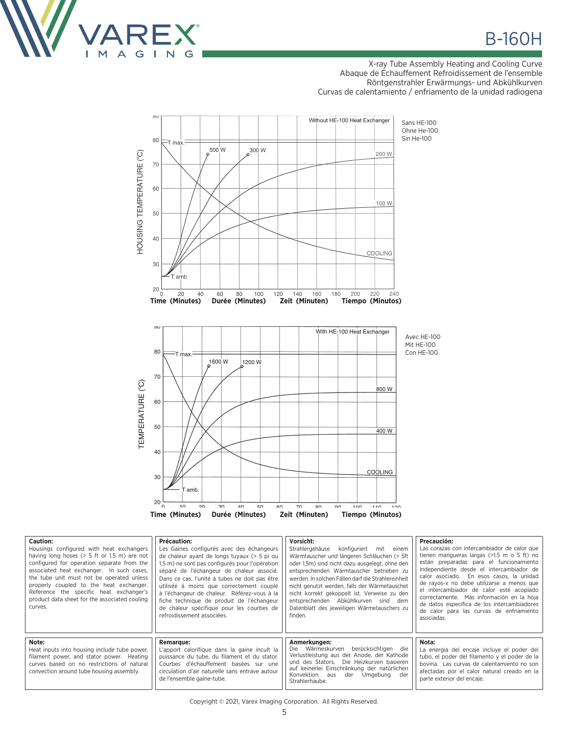

#### X-ray Tube Assembly Heating and Cooling Curve Abaque de Échauffement Refroidissement de l'ensemble Röntgenstrahler Erwärmungs- und Abkühlkurven Curvas de calentamiento / enfriamento de la unidad radiogena



| Caution:<br>Housings configured with heat exchangers<br>having long hoses ( $> 5$ ft or 1.5 m) are not<br>configured for operation separate from the<br>associated heat exchanger. In such cases,<br>the tube unit must not be operated unless<br>properly coupled to the heat exchanger.<br>Reference the specific heat exchanger's<br>product data sheet for the associated cooling<br>curves. | Précaution:<br>Les Gaines configurés avec des échangeurs<br>de chaleur avant de longs tuvaux (> 5 pi ou<br>1,5 m) ne sont pas configurés pour l'opération<br>séparé de l'échangeur de chaleur associé.<br>Dans ce cas. l'unité à tubes ne doit pas être<br>utilisée à moins que correctement couplé<br>à l'échangeur de chaleur. Référez-vous à la<br>fiche technique de produit de l'échangeur<br>de chaleur spécifique pour les courbes de<br>refroidissement associées. | Vorsicht:<br>Strahlergehäuse<br>konfiguriert mit einem<br>Wärmtauscher und längeren Schläuchen (> 5ft<br>oder 1,5m) sind nicht dazu ausgelegt, ohne den<br>entsprechenden Wärmtauscher betrieben zu<br>werden. In solchen Fällen darf die Strahlereinheit<br>nicht genutzt werden, falls der Wärmetauschet<br>nicht korrekt gekoppelt ist. Verweise zu den<br>entsprechenden Abkühlkurven sind dem<br>Datenblatt des jeweiligen Wärmetauschers zu<br>finden. | Precaución:<br>Las corazas con intercambiador de calor que<br>tienen mangueras largas $(>1.5$ m o 5 ft) no<br>están preparadas para el funcionamiento<br>independiente desde el intercambiador de<br>calor asociado. En esos casos, la unidad<br>de rayos-x no debe utilizarse a menos que  <br>el intercambiador de calor esté acoplado  <br>correctamente. Más información en la hoja  <br>de datos específica de los intercambiadores  <br>de calor para las curvas de enfriamiento<br>asociadas. |
|--------------------------------------------------------------------------------------------------------------------------------------------------------------------------------------------------------------------------------------------------------------------------------------------------------------------------------------------------------------------------------------------------|----------------------------------------------------------------------------------------------------------------------------------------------------------------------------------------------------------------------------------------------------------------------------------------------------------------------------------------------------------------------------------------------------------------------------------------------------------------------------|--------------------------------------------------------------------------------------------------------------------------------------------------------------------------------------------------------------------------------------------------------------------------------------------------------------------------------------------------------------------------------------------------------------------------------------------------------------|------------------------------------------------------------------------------------------------------------------------------------------------------------------------------------------------------------------------------------------------------------------------------------------------------------------------------------------------------------------------------------------------------------------------------------------------------------------------------------------------------|
| Note:<br>Heat inputs into housing include tube power,<br>filament power, and stator power. Heating<br>curves based on no restrictions of natural<br>convection around tube housing assembly.                                                                                                                                                                                                     | <b>Remarque:</b><br>L'apport calorifique dans la gaine incult la<br>puissance du tube, du filament et du stator.<br>Courbes d'échauffement basées sur une<br>circulation d'air naturelle sans entrave autour<br>de l'ensemble gaine-tube.                                                                                                                                                                                                                                  | Anmerkungen:<br>Die Wärmeskurven berücksichtigen die<br>Verlustleistung aus der Anode, der Kathode<br>und des Stators. Die Heizkurven basieren<br>auf keinerlei Einschränkung der natürlichen<br>Konvektion aus der Umgebung der<br>Strahlerhaube.                                                                                                                                                                                                           | Nota:<br>La energia del encaje incluye el poder del<br>tubo, el poder del filamento y el poder de la  <br>bovina. Las curvas de calentamiento no son<br>afectadas por el calor natural creado en la<br>parte exterior del encaje.                                                                                                                                                                                                                                                                    |